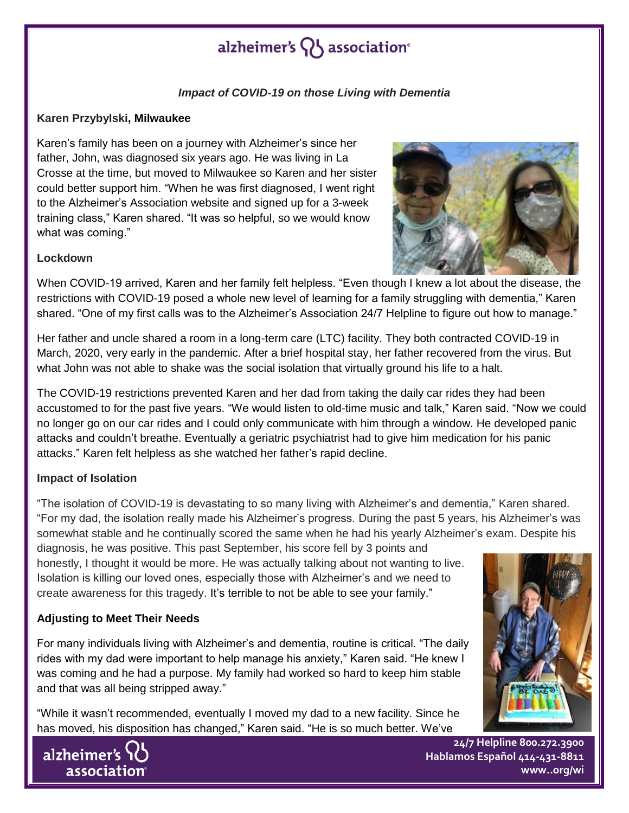## alzheimer's  $\{ \}$  association<sup>®</sup>

## *Impact of COVID-19 on those Living with Dementia*

#### **Karen Przybylski, Milwaukee**

Karen's family has been on a journey with Alzheimer's since her father, John, was diagnosed six years ago. He was living in La Crosse at the time, but moved to Milwaukee so Karen and her sister could better support him. "When he was first diagnosed, I went right to the Alzheimer's Association website and signed up for a 3-week training class," Karen shared. "It was so helpful, so we would know what was coming."



#### **Lockdown**

When COVID-19 arrived, Karen and her family felt helpless. "Even though I knew a lot about the disease, the restrictions with COVID-19 posed a whole new level of learning for a family struggling with dementia," Karen shared. "One of my first calls was to the Alzheimer's Association 24/7 Helpline to figure out how to manage."

Her father and uncle shared a room in a long-term care (LTC) facility. They both contracted COVID-19 in March, 2020, very early in the pandemic. After a brief hospital stay, her father recovered from the virus. But what John was not able to shake was the social isolation that virtually ground his life to a halt.

The COVID-19 restrictions prevented Karen and her dad from taking the daily car rides they had been accustomed to for the past five years. "We would listen to old-time music and talk," Karen said. "Now we could no longer go on our car rides and I could only communicate with him through a window. He developed panic attacks and couldn't breathe. Eventually a geriatric psychiatrist had to give him medication for his panic attacks." Karen felt helpless as she watched her father's rapid decline.

### **Impact of Isolation**

"The isolation of COVID-19 is devastating to so many living with Alzheimer's and dementia," Karen shared. "For my dad, the isolation really made his Alzheimer's progress. During the past 5 years, his Alzheimer's was somewhat stable and he continually scored the same when he had his yearly Alzheimer's exam. Despite his

diagnosis, he was positive. This past September, his score fell by 3 points and honestly, I thought it would be more. He was actually talking about not wanting to live. Isolation is killing our loved ones, especially those with Alzheimer's and we need to create awareness for this tragedy. It's terrible to not be able to see your family."

### **Adjusting to Meet Their Needs**

For many individuals living with Alzheimer's and dementia, routine is critical. "The daily rides with my dad were important to help manage his anxiety," Karen said. "He knew I was coming and he had a purpose. My family had worked so hard to keep him stable and that was all being stripped away."

"While it wasn't recommended, eventually I moved my dad to a new facility. Since he has moved, his disposition has changed," Karen said. "He is so much better. We've





**24/7 Helpline 800.272.3900 Hablamos Español 414-431-8811 www..org/wi**